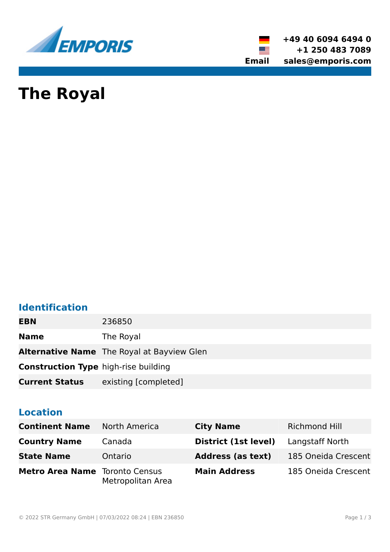

**+49 40 6094 6494 0 +1 250 483 7089 Email sales@emporis.com**

▓▆

# **The Royal**

# **Identification**

| <b>EBN</b>                                  | 236850                                            |
|---------------------------------------------|---------------------------------------------------|
| <b>Name</b>                                 | The Royal                                         |
|                                             | <b>Alternative Name</b> The Royal at Bayview Glen |
| <b>Construction Type high-rise building</b> |                                                   |
| <b>Current Status</b>                       | existing [completed]                              |

# **Location**

| <b>Continent Name</b>                 | <b>North America</b> | <b>City Name</b>         | <b>Richmond Hill</b> |
|---------------------------------------|----------------------|--------------------------|----------------------|
| <b>Country Name</b>                   | Canada               | District (1st level)     | Langstaff North      |
| <b>State Name</b>                     | Ontario              | <b>Address (as text)</b> | 185 Oneida Crescent  |
| <b>Metro Area Name</b> Toronto Census | Metropolitan Area    | <b>Main Address</b>      | 185 Oneida Crescent  |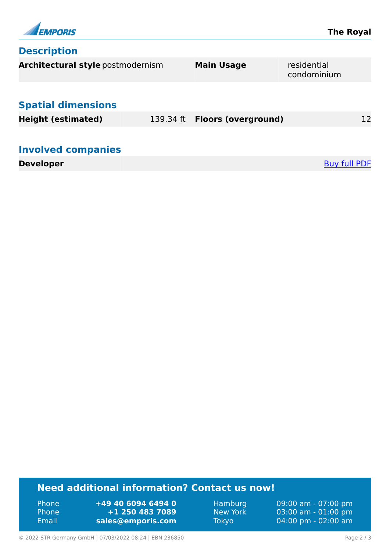

## **Description**

| Architectural style postmodernism |           | <b>Main Usage</b>          | residential<br>condominium |    |
|-----------------------------------|-----------|----------------------------|----------------------------|----|
| <b>Spatial dimensions</b>         |           |                            |                            |    |
| <b>Height (estimated)</b>         | 139.34 ft | <b>Floors (overground)</b> |                            | 12 |
| <b>Involved companies</b>         |           |                            |                            |    |
| <b>Developer</b>                  |           |                            | Buy full PDF               |    |

## **Need additional information? Contact us now!**

Phone **+49 40 6094 6494 0<br>
Phone <b>+1 250 483 7089** Phone **+1 250 483 7089** Email **<sales@emporis.com>**

Hamburg 09:00 am - 07:00 pm<br>New York 03:00 am - 01:00 pm New York 03:00 am - 01:00 pm<br>Tokyo 04:00 pm - 02:00 am 04:00 pm - 02:00 am